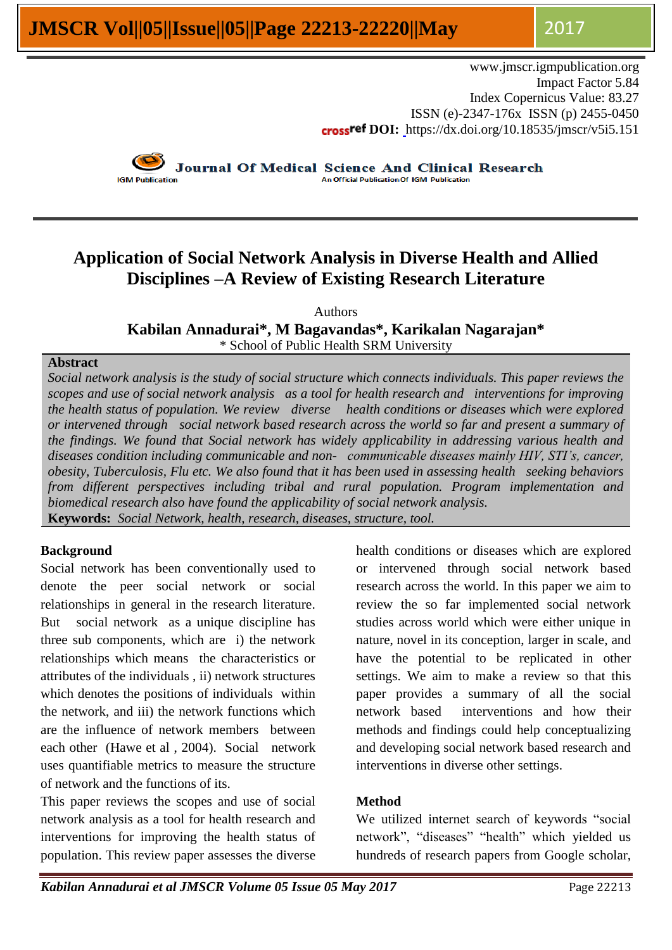www.jmscr.igmpublication.org Impact Factor 5.84 Index Copernicus Value: 83.27 ISSN (e)-2347-176x ISSN (p) 2455-0450 **DOI:** [h](http://dx.doi.org/10.18535/jmscr/v3i8.01)ttps://dx.doi.org/10.18535/jmscr/v5i5.151



**Journal Of Medical Science And Clinical Research** An Official Publication Of IGM Publication

### **Application of Social Network Analysis in Diverse Health and Allied Disciplines –A Review of Existing Research Literature**

Authors **Kabilan Annadurai\* , M Bagavandas\*, Karikalan Nagarajan\*** \* School of Public Health SRM University

#### **Abstract**

*Social network analysis is the study of social structure which connects individuals. This paper reviews the scopes and use of social network analysis as a tool for health research and interventions for improving the health status of population. We review diverse health conditions or diseases which were explored or intervened through social network based research across the world so far and present a summary of the findings. We found that Social network has widely applicability in addressing various health and diseases condition including communicable and non- communicable diseases mainly HIV, STI's, cancer, obesity, Tuberculosis, Flu etc. We also found that it has been used in assessing health seeking behaviors from different perspectives including tribal and rural population. Program implementation and biomedical research also have found the applicability of social network analysis.* **Keywords:** *Social Network, health, research, diseases, structure, tool.*

#### **Background**

Social network has been conventionally used to denote the peer social network or social relationships in general in the research literature. But social network as a unique discipline has three sub components, which are i) the network relationships which means the characteristics or attributes of the individuals , ii) network structures which denotes the positions of individuals within the network, and iii) the network functions which are the influence of network members between each other (Hawe et al , 2004). Social network uses quantifiable metrics to measure the structure of network and the functions of its.

This paper reviews the scopes and use of social network analysis as a tool for health research and interventions for improving the health status of population. This review paper assesses the diverse

health conditions or diseases which are explored or intervened through social network based research across the world. In this paper we aim to review the so far implemented social network studies across world which were either unique in nature, novel in its conception, larger in scale, and have the potential to be replicated in other settings. We aim to make a review so that this paper provides a summary of all the social network based interventions and how their methods and findings could help conceptualizing and developing social network based research and interventions in diverse other settings.

#### **Method**

We utilized internet search of keywords "social network", "diseases" "health" which yielded us hundreds of research papers from Google scholar,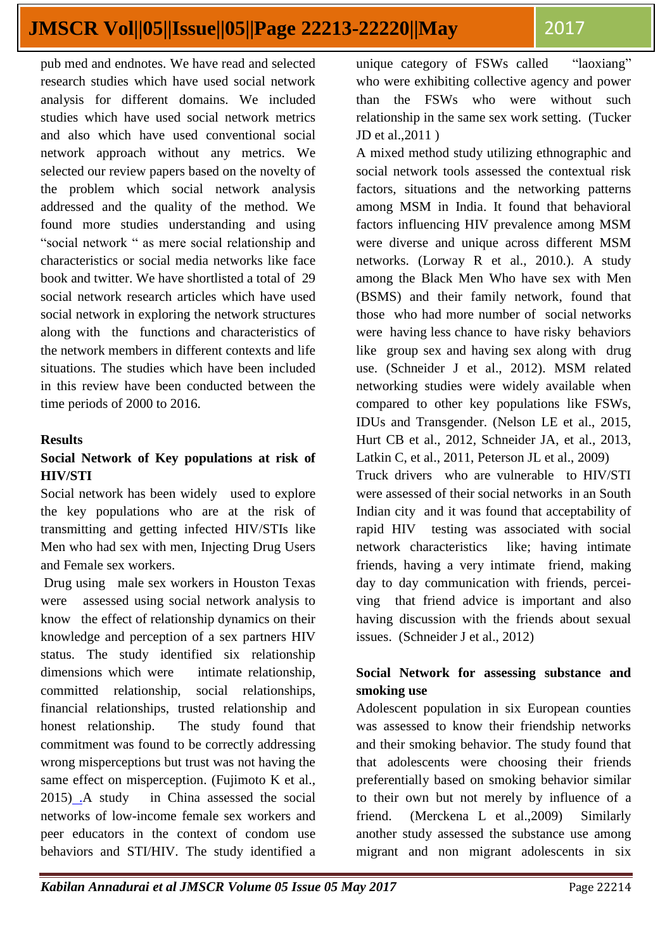pub med and endnotes. We have read and selected research studies which have used social network analysis for different domains. We included studies which have used social network metrics and also which have used conventional social network approach without any metrics. We selected our review papers based on the novelty of the problem which social network analysis addressed and the quality of the method. We found more studies understanding and using "social network " as mere social relationship and characteristics or social media networks like face book and twitter. We have shortlisted a total of 29 social network research articles which have used social network in exploring the network structures along with the functions and characteristics of the network members in different contexts and life situations. The studies which have been included in this review have been conducted between the time periods of 2000 to 2016.

#### **Results**

#### **Social Network of Key populations at risk of HIV/STI**

Social network has been widely used to explore the key populations who are at the risk of transmitting and getting infected HIV/STIs like Men who had sex with men, Injecting Drug Users and Female sex workers.

Drug using male sex workers in Houston Texas were assessed using social network analysis to know the effect of relationship dynamics on their knowledge and perception of a sex partners HIV status. The study identified six relationship dimensions which were intimate relationship, committed relationship, social relationships, financial relationships, trusted relationship and honest relationship. The study found that commitment was found to be correctly addressing wrong misperceptions but trust was not having the same effect on misperception. (Fujimoto K et al., 2015) .A study in China assessed the social networks of low-income female sex workers and peer educators in the context of condom use behaviors and STI/HIV. The study identified a unique category of FSWs called "laoxiang" who were exhibiting collective agency and power than the FSWs who were without such relationship in the same sex work setting. (Tucker JD et al.,2011 )

A mixed method study utilizing ethnographic and social network tools assessed the contextual risk factors, situations and the networking patterns among MSM in India. It found that behavioral factors influencing HIV prevalence among MSM were diverse and unique across different MSM networks. (Lorway R et al., 2010.). A study among the Black Men Who have sex with Men (BSMS) and their family network, found that those who had more number of social networks were having less chance to have risky behaviors like group sex and having sex along with drug use. (Schneider J et al., 2012). MSM related networking studies were widely available when compared to other key populations like FSWs, IDUs and Transgender. (Nelson LE et al., 2015, Hurt CB et al., 2012, Schneider JA, et al., 2013, Latkin C, et al., 2011, Peterson JL et al., 2009) Truck drivers who are vulnerable to HIV/STI were assessed of their social networks in an South Indian city and it was found that acceptability of rapid HIV testing was associated with social

network characteristics like; having intimate friends, having a very intimate friend, making day to day communication with friends, perceiving that friend advice is important and also having discussion with the friends about sexual issues. (Schneider J et al., 2012)

### **Social Network for assessing substance and smoking use**

Adolescent population in six European counties was assessed to know their friendship networks and their smoking behavior. The study found that that adolescents were choosing their friends preferentially based on smoking behavior similar to their own but not merely by influence of a friend. (Merckena L et al.,2009) Similarly another study assessed the substance use among migrant and non migrant adolescents in six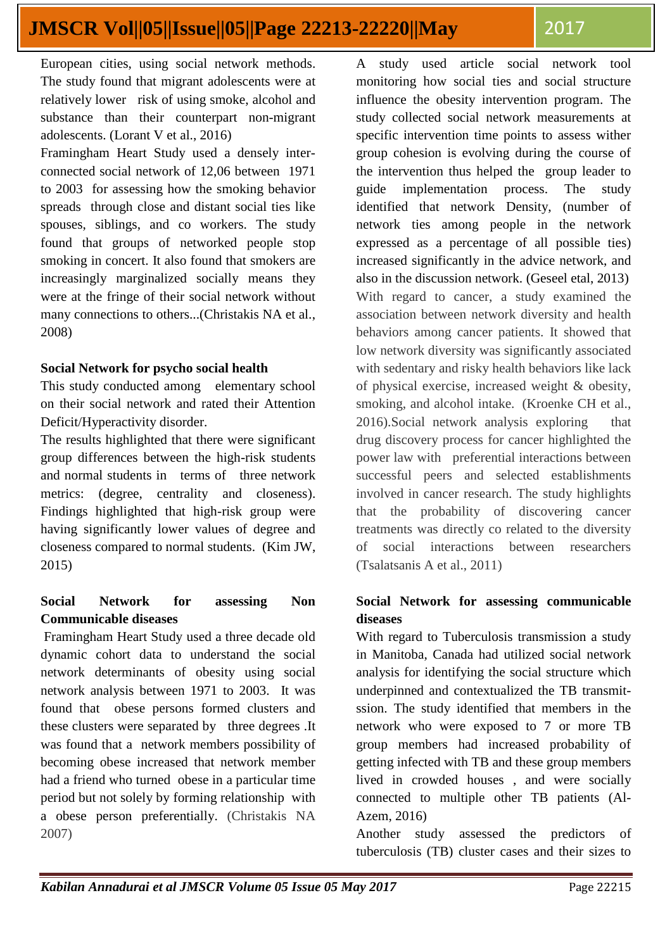European cities, using social network methods. The study found that migrant adolescents were at relatively lower risk of using smoke, alcohol and substance than their counterpart non-migrant adolescents. [\(Lorant V](https://www.ncbi.nlm.nih.gov/pubmed/?term=Lorant%20V%5BAuthor%5D&cauthor=true&cauthor_uid=27689513) et al., 2016)

Framingham Heart Study used a densely interconnected social network of 12,06 between 1971 to 2003 for assessing how the smoking behavior spreads through close and distant social ties like spouses, siblings, and co workers. The study found that groups of networked people stop smoking in concert. It also found that smokers are increasingly marginalized socially means they were at the fringe of their social network without many connections to others...(Christakis NA et al., 2008)

#### **Social Network for psycho social health**

This study conducted among elementary school on their social network and rated their Attention Deficit/Hyperactivity disorder.

The results highlighted that there were significant group differences between the high-risk students and normal students in terms of three network metrics: (degree, centrality and closeness). Findings highlighted that high-risk group were having significantly lower values of degree and closeness compared to normal students. (Kim JW, 2015)

### **Social Network for assessing Non Communicable diseases**

Framingham Heart Study used a three decade old dynamic cohort data to understand the social network determinants of obesity using social network analysis between 1971 to 2003. It was found that obese persons formed clusters and these clusters were separated by three degrees .It was found that a network members possibility of becoming obese increased that network member had a friend who turned obese in a particular time period but not solely by forming relationship with a obese person preferentially. (Christakis NA 2007)

A study used article social network tool monitoring how social ties and social structure influence the obesity intervention program. The study collected social network measurements at specific intervention time points to assess wither group cohesion is evolving during the course of the intervention thus helped the group leader to guide implementation process. The study identified that network Density, (number of network ties among people in the network expressed as a percentage of all possible ties) increased significantly in the advice network, and also in the discussion network. (Geseel etal, 2013) With regard to cancer, a study examined the association between network diversity and health behaviors among cancer patients. It showed that low network diversity was significantly associated with sedentary and risky health behaviors like lack of physical exercise, increased weight & obesity, smoking, and alcohol intake. (Kroenke CH et al., 2016).Social network analysis exploring that drug discovery process for cancer highlighted the power law with preferential interactions between successful peers and selected establishments involved in cancer research. The study highlights that the probability of discovering cancer treatments was directly co related to the diversity of social interactions between researchers (Tsalatsanis A et al., 2011)

### **Social Network for assessing communicable diseases**

With regard to Tuberculosis transmission a study in Manitoba, Canada had utilized social network analysis for identifying the social structure which underpinned and contextualized the TB transmitssion. The study identified that members in the network who were exposed to 7 or more TB group members had increased probability of getting infected with TB and these group members lived in crowded houses , and were socially connected to multiple other TB patients (Al-Azem, 2016)

Another study assessed the predictors of tuberculosis (TB) cluster cases and their sizes to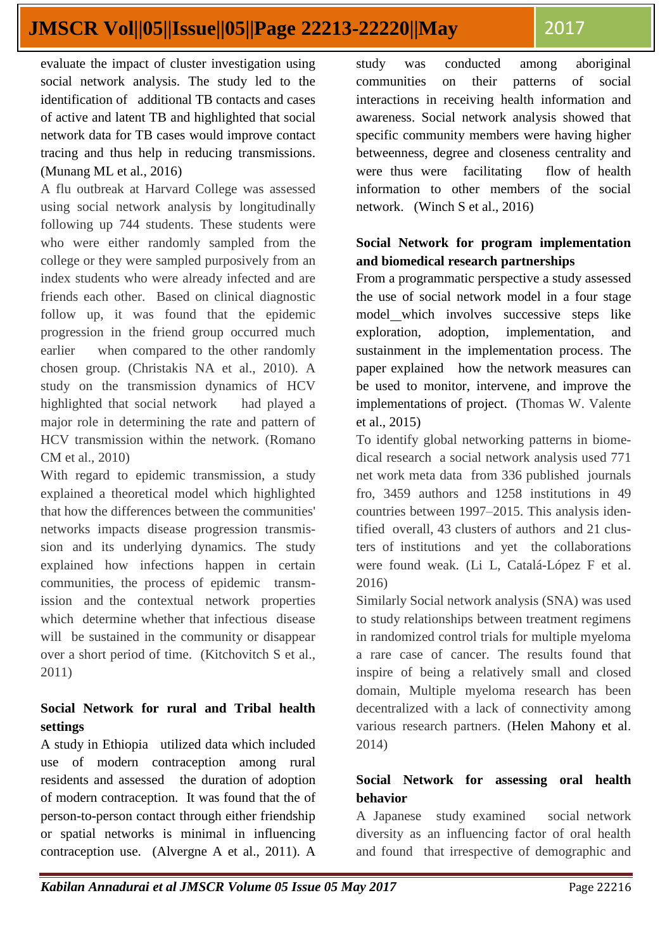evaluate the impact of cluster investigation using social network analysis. The study led to the identification of additional TB contacts and cases of active and latent TB and highlighted that social network data for TB cases would improve contact tracing and thus help in reducing transmissions. (Munang ML et al., 2016)

A flu outbreak at Harvard College was assessed using social network analysis by longitudinally following up 744 students. These students were who were either randomly sampled from the college or they were sampled purposively from an index students who were already infected and are friends each other. Based on clinical diagnostic follow up, it was found that the epidemic progression in the friend group occurred much earlier when compared to the other randomly chosen group. (Christakis NA et al., 2010). A study on the transmission dynamics of HCV highlighted that social network had played a major role in determining the rate and pattern of HCV transmission within the network. (Romano CM et al., 2010)

With regard to epidemic transmission, a study explained a theoretical model which highlighted that how the differences between the communities' networks impacts disease progression transmission and its underlying dynamics. The study explained how infections happen in certain communities, the process of epidemic transmission and the contextual network properties which determine whether that infectious disease will be sustained in the community or disappear over a short period of time. (Kitchovitch S et al., 2011)

### **Social Network for rural and Tribal health settings**

A study in Ethiopia utilized data which included use of modern contraception among rural residents and assessed the duration of adoption of modern contraception. It was found that the of person-to-person contact through either friendship or spatial networks is minimal in influencing contraception use. (Alvergne A et al., 2011). A

study was conducted among aboriginal communities on their patterns of social interactions in receiving health information and awareness. Social network analysis showed that specific community members were having higher betweenness, degree and closeness centrality and were thus were facilitating flow of health information to other members of the social network. (Winch S et al., 2016)

### **Social Network for program implementation and biomedical research partnerships**

From a programmatic perspective a study assessed the use of social network model in a four stage model which involves successive steps like exploration, adoption, implementation, and sustainment in the implementation process. The paper explained how the network measures can be used to monitor, intervene, and improve the implementations of project. [\(Thomas W. Valente](https://www.ncbi.nlm.nih.gov/pubmed/?term=Valente%20TW%5BAuthor%5D&cauthor=true&cauthor_uid=26110842) et al., 2015)

To identify global networking patterns in biomedical research a social network analysis used 771 net work meta data from 336 published journals fro, 3459 authors and 1258 institutions in 49 countries between 1997–2015. This analysis identified overall, 43 clusters of authors and 21 clusters of institutions and yet the collaborations were found weak. (Li L, Catalá-López F et al. 2016)

Similarly Social network analysis (SNA) was used to study relationships between treatment regimens in randomized control trials for multiple myeloma a rare case of cancer. The results found that inspire of being a relatively small and closed domain, Multiple myeloma research has been decentralized with a lack of connectivity among various research partners. (Helen Mahony et al. 2014)

### **Social Network for assessing oral health behavior**

A Japanese study examined social network diversity as an influencing factor of oral health and found that irrespective of demographic and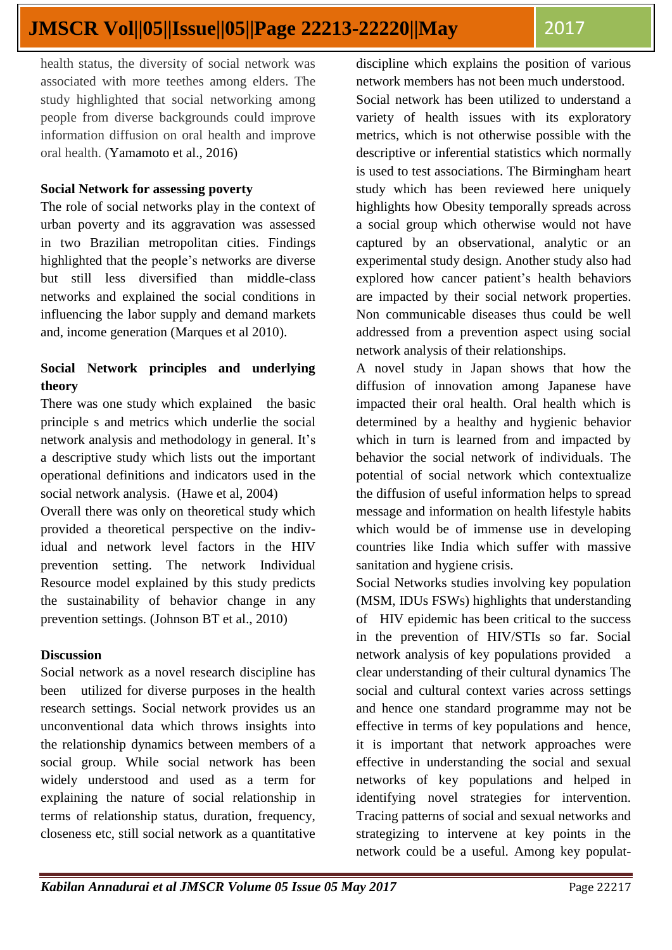health status, the diversity of social network was associated with more teethes among elders. The study highlighted that social networking among people from diverse backgrounds could improve information diffusion on oral health and improve oral health. (Yamamoto et al., 2016)

#### **Social Network for assessing poverty**

The role of social networks play in the context of urban poverty and its aggravation was assessed in two Brazilian metropolitan cities. Findings highlighted that the people's networks are diverse but still less diversified than middle-class networks and explained the social conditions in influencing the labor supply and demand markets and, income generation (Marques et al 2010).

### **Social Network principles and underlying theory**

There was one study which explained the basic principle s and metrics which underlie the social network analysis and methodology in general. It's a descriptive study which lists out the important operational definitions and indicators used in the social network analysis. (Hawe et al, 2004)

Overall there was only on theoretical study which provided a theoretical perspective on the individual and network level factors in the HIV prevention setting. The network Individual Resource model explained by this study predicts the sustainability of behavior change in any prevention settings. (Johnson BT et al., 2010)

#### **Discussion**

Social network as a novel research discipline has been utilized for diverse purposes in the health research settings. Social network provides us an unconventional data which throws insights into the relationship dynamics between members of a social group. While social network has been widely understood and used as a term for explaining the nature of social relationship in terms of relationship status, duration, frequency, closeness etc, still social network as a quantitative

discipline which explains the position of various network members has not been much understood. Social network has been utilized to understand a variety of health issues with its exploratory metrics, which is not otherwise possible with the descriptive or inferential statistics which normally is used to test associations. The Birmingham heart study which has been reviewed here uniquely highlights how Obesity temporally spreads across a social group which otherwise would not have captured by an observational, analytic or an experimental study design. Another study also had explored how cancer patient's health behaviors are impacted by their social network properties. Non communicable diseases thus could be well addressed from a prevention aspect using social network analysis of their relationships.

A novel study in Japan shows that how the diffusion of innovation among Japanese have impacted their oral health. Oral health which is determined by a healthy and hygienic behavior which in turn is learned from and impacted by behavior the social network of individuals. The potential of social network which contextualize the diffusion of useful information helps to spread message and information on health lifestyle habits which would be of immense use in developing countries like India which suffer with massive sanitation and hygiene crisis.

Social Networks studies involving key population (MSM, IDUs FSWs) highlights that understanding of HIV epidemic has been critical to the success in the prevention of HIV/STIs so far. Social network analysis of key populations provided a clear understanding of their cultural dynamics The social and cultural context varies across settings and hence one standard programme may not be effective in terms of key populations and hence, it is important that network approaches were effective in understanding the social and sexual networks of key populations and helped in identifying novel strategies for intervention. Tracing patterns of social and sexual networks and strategizing to intervene at key points in the network could be a useful. Among key populat-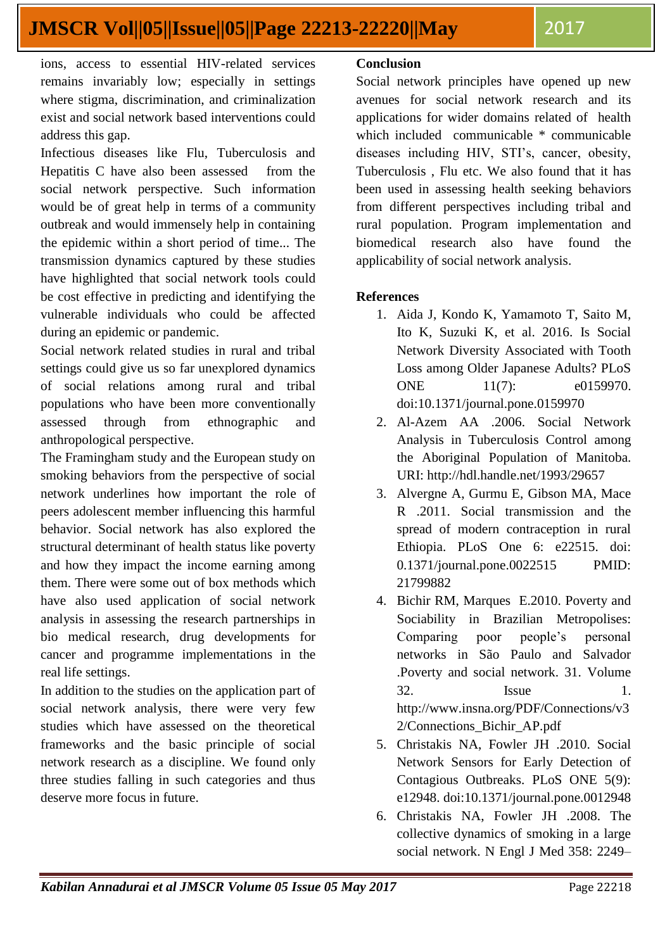ions, access to essential HIV-related services remains invariably low; especially in settings where stigma, discrimination, and criminalization exist and social network based interventions could address this gap.

Infectious diseases like Flu, Tuberculosis and Hepatitis C have also been assessed from the social network perspective. Such information would be of great help in terms of a community outbreak and would immensely help in containing the epidemic within a short period of time... The transmission dynamics captured by these studies have highlighted that social network tools could be cost effective in predicting and identifying the vulnerable individuals who could be affected during an epidemic or pandemic.

Social network related studies in rural and tribal settings could give us so far unexplored dynamics of social relations among rural and tribal populations who have been more conventionally assessed through from ethnographic and anthropological perspective.

The Framingham study and the European study on smoking behaviors from the perspective of social network underlines how important the role of peers adolescent member influencing this harmful behavior. Social network has also explored the structural determinant of health status like poverty and how they impact the income earning among them. There were some out of box methods which have also used application of social network analysis in assessing the research partnerships in bio medical research, drug developments for cancer and programme implementations in the real life settings.

In addition to the studies on the application part of social network analysis, there were very few studies which have assessed on the theoretical frameworks and the basic principle of social network research as a discipline. We found only three studies falling in such categories and thus deserve more focus in future.

#### **Conclusion**

Social network principles have opened up new avenues for social network research and its applications for wider domains related of health which included communicable \* communicable diseases including HIV, STI's, cancer, obesity, Tuberculosis , Flu etc. We also found that it has been used in assessing health seeking behaviors from different perspectives including tribal and rural population. Program implementation and biomedical research also have found the applicability of social network analysis.

### **References**

- 1. Aida J, Kondo K, Yamamoto T, Saito M, Ito K, Suzuki K, et al. 2016. Is Social Network Diversity Associated with Tooth Loss among Older Japanese Adults? PLoS ONE 11(7): e0159970. doi:10.1371/journal.pone.0159970
- 2. Al-Azem AA .2006. Social Network Analysis in Tuberculosis Control among the Aboriginal Population of Manitoba. URI: <http://hdl.handle.net/1993/29657>
- 3. Alvergne A, Gurmu E, Gibson MA, Mace R .2011. Social transmission and the spread of modern contraception in rural Ethiopia. PLoS One 6: e22515. doi: 0.1371/journal.pone.0022515 PMID: 21799882
- 4. Bichir RM, Marques E.2010. Poverty and Sociability in Brazilian Metropolises: Comparing poor people's personal networks in São Paulo and Salvador .Poverty and social network. 31. Volume 32. Issue 1. http://www.insna.org/PDF/Connections/v3 2/Connections\_Bichir\_AP.pdf
- 5. Christakis NA, Fowler JH .2010. Social Network Sensors for Early Detection of Contagious Outbreaks. PLoS ONE 5(9): e12948. doi:10.1371/journal.pone.0012948
- 6. Christakis NA, Fowler JH .2008. The collective dynamics of smoking in a large social network. N Engl J Med 358: 2249–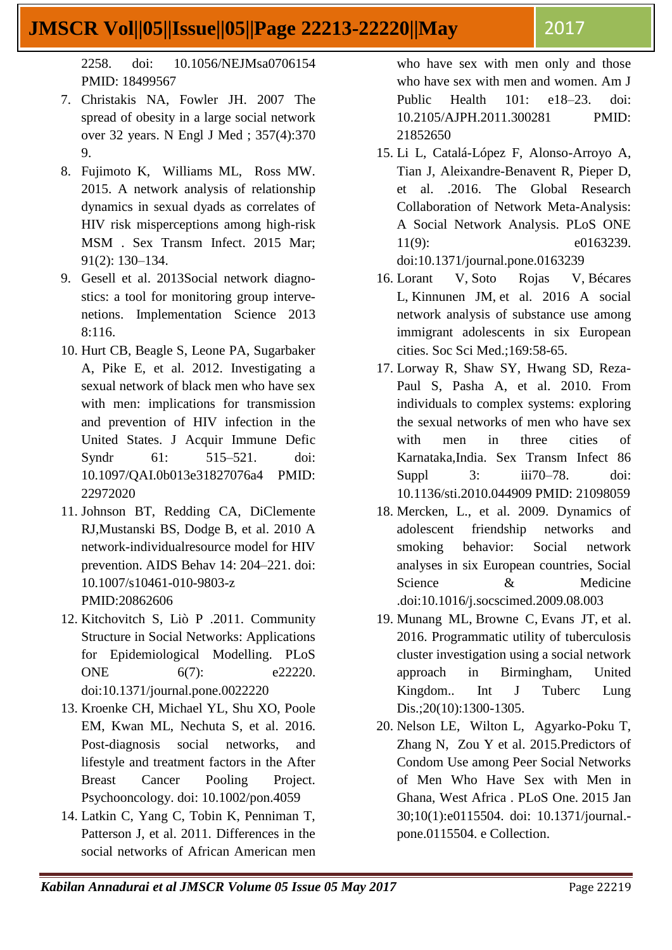2258. doi: 10.1056/NEJMsa0706154 PMID: 18499567

- 7. Christakis NA, Fowler JH. 2007 The spread of obesity in a large social network over 32 years. N Engl J Med ; 357(4):370 9.
- 8. Fujimoto K, Williams ML, Ross MW. 2015. A network analysis of relationship dynamics in sexual dyads as correlates of HIV risk misperceptions among high-risk MSM . [Sex Transm Infect.](https://www.ncbi.nlm.nih.gov/pmc/articles/PMC4336571/) 2015 Mar; 91(2): 130–134.
- 9. Gesell et al. 2013Social network diagnostics: a tool for monitoring group intervenetions. Implementation Science 2013 8:116.
- 10. Hurt CB, Beagle S, Leone PA, Sugarbaker A, Pike E, et al. 2012. Investigating a sexual network of black men who have sex with men: implications for transmission and prevention of HIV infection in the United States. J Acquir Immune Defic Syndr 61: 515–521. doi: 10.1097/QAI.0b013e31827076a4 PMID: 22972020
- 11. Johnson BT, Redding CA, DiClemente RJ,Mustanski BS, Dodge B, et al. 2010 A network-individualresource model for HIV prevention. AIDS Behav 14: 204–221. doi: 10.1007/s10461-010-9803-z PMID:20862606
- 12. Kitchovitch S, Liò P .2011. Community Structure in Social Networks: Applications for Epidemiological Modelling. PLoS ONE 6(7): e22220. doi:10.1371/journal.pone.0022220
- 13. Kroenke CH, Michael YL, Shu XO, Poole EM, Kwan ML, Nechuta S, et al. 2016. Post-diagnosis social networks, and lifestyle and treatment factors in the After Breast Cancer Pooling Project. Psychooncology. doi: 10.1002/pon.4059
- 14. Latkin C, Yang C, Tobin K, Penniman T, Patterson J, et al. 2011. Differences in the social networks of African American men

who have sex with men only and those who have sex with men and women. Am J Public Health 101: e18–23. doi: 10.2105/AJPH.2011.300281 PMID: 21852650

- 15. Li L, Catalá-López F, Alonso-Arroyo A, Tian J, Aleixandre-Benavent R, Pieper D, et al. .2016. The Global Research Collaboration of Network Meta-Analysis: A Social Network Analysis. PLoS ONE 11(9): e0163239. doi:10.1371/journal.pone.0163239
- 16. [Lorant V,](https://www.ncbi.nlm.nih.gov/pubmed/?term=Lorant%20V%5BAuthor%5D&cauthor=true&cauthor_uid=27689513) [Soto Rojas V,](https://www.ncbi.nlm.nih.gov/pubmed/?term=Soto%20Rojas%20V%5BAuthor%5D&cauthor=true&cauthor_uid=27689513) [Bécares](https://www.ncbi.nlm.nih.gov/pubmed/?term=B%C3%A9cares%20L%5BAuthor%5D&cauthor=true&cauthor_uid=27689513)  [L,](https://www.ncbi.nlm.nih.gov/pubmed/?term=B%C3%A9cares%20L%5BAuthor%5D&cauthor=true&cauthor_uid=27689513) [Kinnunen JM,](https://www.ncbi.nlm.nih.gov/pubmed/?term=Kinnunen%20JM%5BAuthor%5D&cauthor=true&cauthor_uid=27689513) et al. 2016 A social network analysis of substance use among immigrant adolescents in six European cities. [Soc Sci Med.;](https://www.ncbi.nlm.nih.gov/pubmed/27689513)169:58-65.
- 17. Lorway R, Shaw SY, Hwang SD, Reza-Paul S, Pasha A, et al. 2010. From individuals to complex systems: exploring the sexual networks of men who have sex with men in three cities of Karnataka,India. Sex Transm Infect 86 Suppl 3: iii70–78. doi: 10.1136/sti.2010.044909 PMID: 21098059
- 18. Mercken, L., et al. 2009. Dynamics of adolescent friendship networks and smoking behavior: Social network analyses in six European countries, Social Science  $\&$  Medicine .doi:10.1016/j.socscimed.2009.08.003
- 19. [Munang ML,](https://www.ncbi.nlm.nih.gov/pubmed/?term=Munang%20ML%5BAuthor%5D&cauthor=true&cauthor_uid=27725038) [Browne C,](https://www.ncbi.nlm.nih.gov/pubmed/?term=Browne%20C%5BAuthor%5D&cauthor=true&cauthor_uid=27725038) [Evans JT,](https://www.ncbi.nlm.nih.gov/pubmed/?term=Evans%20JT%5BAuthor%5D&cauthor=true&cauthor_uid=27725038) et al. 2016. Programmatic utility of tuberculosis cluster investigation using a social network approach in Birmingham, United Kingdom.. [Int J Tuberc Lung](https://www.ncbi.nlm.nih.gov/pubmed/27725038)  [Dis.;](https://www.ncbi.nlm.nih.gov/pubmed/27725038)20(10):1300-1305.
- 20. Nelson LE, Wilton L, Agyarko-Poku T, Zhang N, Zou Y et al. 2015.Predictors of Condom Use among Peer Social Networks of Men Who Have Sex with Men in Ghana, West Africa . [PLoS One.](https://www.ncbi.nlm.nih.gov/pubmed/25635774) 2015 Jan 30;10(1):e0115504. doi: 10.1371/journal. pone.0115504. e Collection.